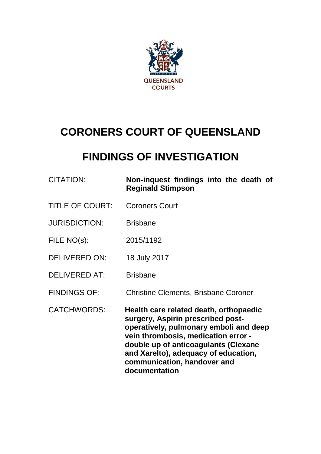

# **CORONERS COURT OF QUEENSLAND**

# **FINDINGS OF INVESTIGATION**

| <b>CITATION:</b>       | Non-inquest findings into the death of<br><b>Reginald Stimpson</b>                                                                                                                                                                                                                           |
|------------------------|----------------------------------------------------------------------------------------------------------------------------------------------------------------------------------------------------------------------------------------------------------------------------------------------|
| <b>TITLE OF COURT:</b> | <b>Coroners Court</b>                                                                                                                                                                                                                                                                        |
| <b>JURISDICTION:</b>   | <b>Brisbane</b>                                                                                                                                                                                                                                                                              |
| FILE NO(s):            | 2015/1192                                                                                                                                                                                                                                                                                    |
| <b>DELIVERED ON:</b>   | 18 July 2017                                                                                                                                                                                                                                                                                 |
| <b>DELIVERED AT:</b>   | <b>Brisbane</b>                                                                                                                                                                                                                                                                              |
| <b>FINDINGS OF:</b>    | <b>Christine Clements, Brisbane Coroner</b>                                                                                                                                                                                                                                                  |
| <b>CATCHWORDS:</b>     | Health care related death, orthopaedic<br>surgery, Aspirin prescribed post-<br>operatively, pulmonary emboli and deep<br>vein thrombosis, medication error -<br>double up of anticoagulants (Clexane<br>and Xarelto), adequacy of education,<br>communication, handover and<br>documentation |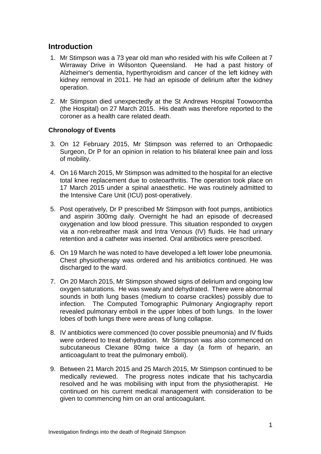# **Introduction**

- 1. Mr Stimpson was a 73 year old man who resided with his wife Colleen at 7 Wirraway Drive in Wilsonton Queensland. He had a past history of Alzheimer's dementia, hyperthyroidism and cancer of the left kidney with kidney removal in 2011. He had an episode of delirium after the kidney operation.
- 2. Mr Stimpson died unexpectedly at the St Andrews Hospital Toowoomba (the Hospital) on 27 March 2015. His death was therefore reported to the coroner as a health care related death.

# **Chronology of Events**

- 3. On 12 February 2015, Mr Stimpson was referred to an Orthopaedic Surgeon, Dr P for an opinion in relation to his bilateral knee pain and loss of mobility.
- 4. On 16 March 2015, Mr Stimpson was admitted to the hospital for an elective total knee replacement due to osteoarthritis. The operation took place on 17 March 2015 under a spinal anaesthetic. He was routinely admitted to the Intensive Care Unit (ICU) post-operatively.
- 5. Post operatively, Dr P prescribed Mr Stimpson with foot pumps, antibiotics and aspirin 300mg daily. Overnight he had an episode of decreased oxygenation and low blood pressure. This situation responded to oxygen via a non-rebreather mask and Intra Venous (IV) fluids. He had urinary retention and a catheter was inserted. Oral antibiotics were prescribed.
- 6. On 19 March he was noted to have developed a left lower lobe pneumonia. Chest physiotherapy was ordered and his antibiotics continued. He was discharged to the ward.
- 7. On 20 March 2015, Mr Stimpson showed signs of delirium and ongoing low oxygen saturations. He was sweaty and dehydrated. There were abnormal sounds in both lung bases (medium to coarse crackles) possibly due to infection. The Computed Tomographic Pulmonary Angiography report revealed pulmonary emboli in the upper lobes of both lungs. In the lower lobes of both lungs there were areas of lung collapse.
- 8. IV antibiotics were commenced (to cover possible pneumonia) and IV fluids were ordered to treat dehydration. Mr Stimpson was also commenced on subcutaneous Clexane 80mg twice a day (a form of heparin, an anticoagulant to treat the pulmonary emboli).
- 9. Between 21 March 2015 and 25 March 2015, Mr Stimpson continued to be medically reviewed. The progress notes indicate that his tachycardia resolved and he was mobilising with input from the physiotherapist. He continued on his current medical management with consideration to be given to commencing him on an oral anticoagulant.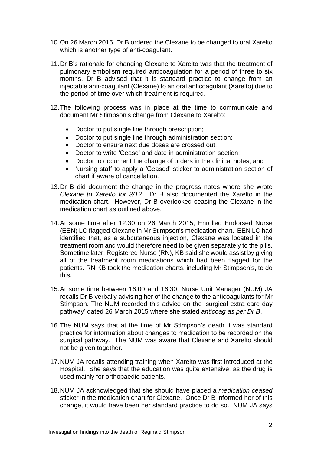- 10.On 26 March 2015, Dr B ordered the Clexane to be changed to oral Xarelto which is another type of anti-coagulant.
- 11.Dr B's rationale for changing Clexane to Xarelto was that the treatment of pulmonary embolism required anticoagulation for a period of three to six months. Dr B advised that it is standard practice to change from an injectable anti-coagulant (Clexane) to an oral anticoagulant (Xarelto) due to the period of time over which treatment is required.
- 12.The following process was in place at the time to communicate and document Mr Stimpson's change from Clexane to Xarelto:
	- Doctor to put single line through prescription;
	- Doctor to put single line through administration section;
	- Doctor to ensure next due doses are crossed out;
	- Doctor to write 'Cease' and date in administration section;
	- Doctor to document the change of orders in the clinical notes; and
	- Nursing staff to apply a 'Ceased' sticker to administration section of chart if aware of cancellation.
- 13.Dr B did document the change in the progress notes where she wrote *Clexane to Xarelto for 3/12*. Dr B also documented the Xarelto in the medication chart. However, Dr B overlooked ceasing the Clexane in the medication chart as outlined above.
- 14.At some time after 12:30 on 26 March 2015, Enrolled Endorsed Nurse (EEN) LC flagged Clexane in Mr Stimpson's medication chart. EEN LC had identified that, as a subcutaneous injection, Clexane was located in the treatment room and would therefore need to be given separately to the pills. Sometime later, Registered Nurse (RN), KB said she would assist by giving all of the treatment room medications which had been flagged for the patients. RN KB took the medication charts, including Mr Stimpson's, to do this.
- 15.At some time between 16:00 and 16:30, Nurse Unit Manager (NUM) JA recalls Dr B verbally advising her of the change to the anticoagulants for Mr Stimpson. The NUM recorded this advice on the 'surgical extra care day pathway' dated 26 March 2015 where she stated *anticoag as per Dr B*.
- 16.The NUM says that at the time of Mr Stimpson's death it was standard practice for information about changes to medication to be recorded on the surgical pathway. The NUM was aware that Clexane and Xarelto should not be given together.
- 17.NUM JA recalls attending training when Xarelto was first introduced at the Hospital. She says that the education was quite extensive, as the drug is used mainly for orthopaedic patients.
- 18.NUM JA acknowledged that she should have placed a *medication ceased* sticker in the medication chart for Clexane. Once Dr B informed her of this change, it would have been her standard practice to do so. NUM JA says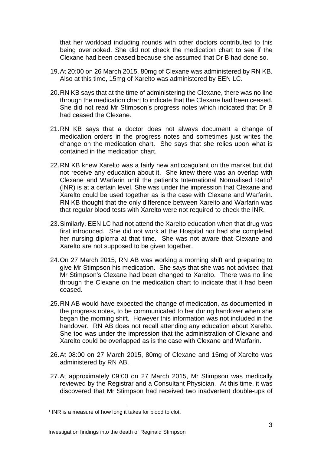that her workload including rounds with other doctors contributed to this being overlooked. She did not check the medication chart to see if the Clexane had been ceased because she assumed that Dr B had done so.

- 19.At 20:00 on 26 March 2015, 80mg of Clexane was administered by RN KB. Also at this time, 15mg of Xarelto was administered by EEN LC.
- 20.RN KB says that at the time of administering the Clexane, there was no line through the medication chart to indicate that the Clexane had been ceased. She did not read Mr Stimpson's progress notes which indicated that Dr B had ceased the Clexane.
- 21.RN KB says that a doctor does not always document a change of medication orders in the progress notes and sometimes just writes the change on the medication chart. She says that she relies upon what is contained in the medication chart.
- 22.RN KB knew Xarelto was a fairly new anticoagulant on the market but did not receive any education about it. She knew there was an overlap with Clexane and Warfarin until the patient's International Normalised Ratio<sup>1</sup> (INR) is at a certain level. She was under the impression that Clexane and Xarelto could be used together as is the case with Clexane and Warfarin. RN KB thought that the only difference between Xarelto and Warfarin was that regular blood tests with Xarelto were not required to check the INR.
- 23.Similarly, EEN LC had not attend the Xarelto education when that drug was first introduced. She did not work at the Hospital nor had she completed her nursing diploma at that time. She was not aware that Clexane and Xarelto are not supposed to be given together.
- 24.On 27 March 2015, RN AB was working a morning shift and preparing to give Mr Stimpson his medication. She says that she was not advised that Mr Stimpson's Clexane had been changed to Xarelto. There was no line through the Clexane on the medication chart to indicate that it had been ceased.
- 25.RN AB would have expected the change of medication, as documented in the progress notes, to be communicated to her during handover when she began the morning shift. However this information was not included in the handover. RN AB does not recall attending any education about Xarelto. She too was under the impression that the administration of Clexane and Xarelto could be overlapped as is the case with Clexane and Warfarin.
- 26.At 08:00 on 27 March 2015, 80mg of Clexane and 15mg of Xarelto was administered by RN AB.
- 27.At approximately 09:00 on 27 March 2015, Mr Stimpson was medically reviewed by the Registrar and a Consultant Physician. At this time, it was discovered that Mr Stimpson had received two inadvertent double-ups of

l

<sup>&</sup>lt;sup>1</sup> INR is a measure of how long it takes for blood to clot.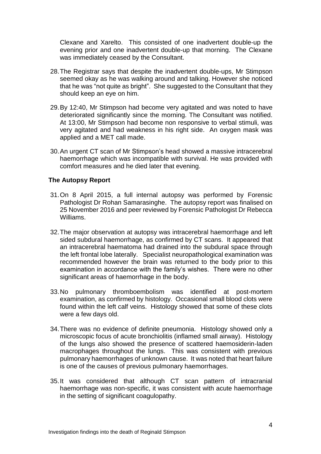Clexane and Xarelto. This consisted of one inadvertent double-up the evening prior and one inadvertent double-up that morning. The Clexane was immediately ceased by the Consultant.

- 28.The Registrar says that despite the inadvertent double-ups, Mr Stimpson seemed okay as he was walking around and talking. However she noticed that he was "not quite as bright". She suggested to the Consultant that they should keep an eye on him.
- 29.By 12:40, Mr Stimpson had become very agitated and was noted to have deteriorated significantly since the morning. The Consultant was notified. At 13:00, Mr Stimpson had become non responsive to verbal stimuli, was very agitated and had weakness in his right side. An oxygen mask was applied and a MET call made.
- 30.An urgent CT scan of Mr Stimpson's head showed a massive intracerebral haemorrhage which was incompatible with survival. He was provided with comfort measures and he died later that evening.

#### **The Autopsy Report**

- 31.On 8 April 2015, a full internal autopsy was performed by Forensic Pathologist Dr Rohan Samarasinghe. The autopsy report was finalised on 25 November 2016 and peer reviewed by Forensic Pathologist Dr Rebecca Williams.
- 32.The major observation at autopsy was intracerebral haemorrhage and left sided subdural haemorrhage, as confirmed by CT scans. It appeared that an intracerebral haematoma had drained into the subdural space through the left frontal lobe laterally. Specialist neuropathological examination was recommended however the brain was returned to the body prior to this examination in accordance with the family's wishes. There were no other significant areas of haemorrhage in the body.
- 33.No pulmonary thromboembolism was identified at post-mortem examination, as confirmed by histology. Occasional small blood clots were found within the left calf veins. Histology showed that some of these clots were a few days old.
- 34.There was no evidence of definite pneumonia. Histology showed only a microscopic focus of acute bronchiolitis (inflamed small airway). Histology of the lungs also showed the presence of scattered haemosiderin-laden macrophages throughout the lungs. This was consistent with previous pulmonary haemorrhages of unknown cause. It was noted that heart failure is one of the causes of previous pulmonary haemorrhages.
- 35.It was considered that although CT scan pattern of intracranial haemorrhage was non-specific, it was consistent with acute haemorrhage in the setting of significant coagulopathy.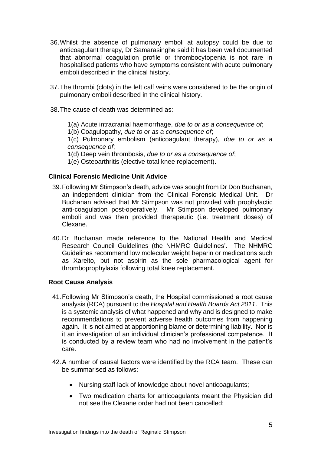- 36.Whilst the absence of pulmonary emboli at autopsy could be due to anticoagulant therapy, Dr Samarasinghe said it has been well documented that abnormal coagulation profile or thrombocytopenia is not rare in hospitalised patients who have symptoms consistent with acute pulmonary emboli described in the clinical history.
- 37.The thrombi (clots) in the left calf veins were considered to be the origin of pulmonary emboli described in the clinical history.
- 38.The cause of death was determined as:
	- 1(a) Acute intracranial haemorrhage, *due to or as a consequence of*;
	- 1(b) Coagulopathy, *due to or as a consequence of*;

1(c) Pulmonary embolism (anticoagulant therapy), *due to or as a consequence of*;

- 1(d) Deep vein thrombosis, *due to or as a consequence of*;
- 1(e) Osteoarthritis (elective total knee replacement).

#### **Clinical Forensic Medicine Unit Advice**

- 39.Following Mr Stimpson's death, advice was sought from Dr Don Buchanan, an independent clinician from the Clinical Forensic Medical Unit. Dr Buchanan advised that Mr Stimpson was not provided with prophylactic anti-coagulation post-operatively. Mr Stimpson developed pulmonary emboli and was then provided therapeutic (i.e. treatment doses) of Clexane.
- 40.Dr Buchanan made reference to the National Health and Medical Research Council Guidelines (the NHMRC Guidelines'. The NHMRC Guidelines recommend low molecular weight heparin or medications such as Xarelto, but not aspirin as the sole pharmacological agent for thromboprophylaxis following total knee replacement.

#### **Root Cause Analysis**

- 41.Following Mr Stimpson's death, the Hospital commissioned a root cause analysis (RCA) pursuant to the *Hospital and Health Boards Act 2011*. This is a systemic analysis of what happened and why and is designed to make recommendations to prevent adverse health outcomes from happening again. It is not aimed at apportioning blame or determining liability. Nor is it an investigation of an individual clinician's professional competence. It is conducted by a review team who had no involvement in the patient's care.
- 42.A number of causal factors were identified by the RCA team. These can be summarised as follows:
	- Nursing staff lack of knowledge about novel anticoagulants;
	- Two medication charts for anticoagulants meant the Physician did not see the Clexane order had not been cancelled;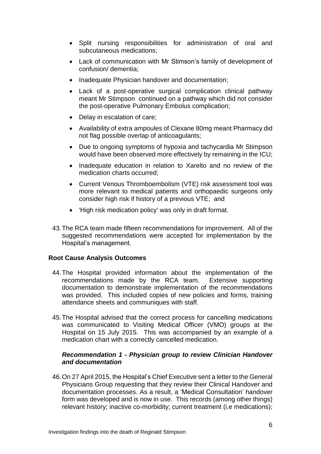- Split nursing responsibilities for administration of oral and subcutaneous medications;
- Lack of communication with Mr Stimson's family of development of confusion/ dementia;
- Inadequate Physician handover and documentation;
- Lack of a post-operative surgical complication clinical pathway meant Mr Stimpson continued on a pathway which did not consider the post-operative Pulmonary Embolus complication;
- Delay in escalation of care;
- Availability of extra ampoules of Clexane 80mg meant Pharmacy did not flag possible overlap of anticoagulants;
- Due to ongoing symptoms of hypoxia and tachycardia Mr Stimpson would have been observed more effectively by remaining in the ICU;
- Inadequate education in relation to Xarelto and no review of the medication charts occurred;
- Current Venous Thromboembolism (VTE) risk assessment tool was more relevant to medical patients and orthopaedic surgeons only consider high risk if history of a previous VTE; and
- 'High risk medication policy' was only in draft format.
- 43.The RCA team made fifteen recommendations for improvement. All of the suggested recommendations were accepted for implementation by the Hospital's management.

#### **Root Cause Analysis Outcomes**

- 44.The Hospital provided information about the implementation of the recommendations made by the RCA team. Extensive supporting documentation to demonstrate implementation of the recommendations was provided. This included copies of new policies and forms, training attendance sheets and communiques with staff.
- 45.The Hospital advised that the correct process for cancelling medications was communicated to Visiting Medical Officer (VMO) groups at the Hospital on 15 July 2015. This was accompanied by an example of a medication chart with a correctly cancelled medication.

#### *Recommendation 1 - Physician group to review Clinician Handover and documentation*

46.On 27 April 2015, the Hospital's Chief Executive sent a letter to the General Physicians Group requesting that they review their Clinical Handover and documentation processes. As a result, a 'Medical Consultation' handover form was developed and is now in use. This records (among other things) relevant history; inactive co-morbidity; current treatment (i.e medications);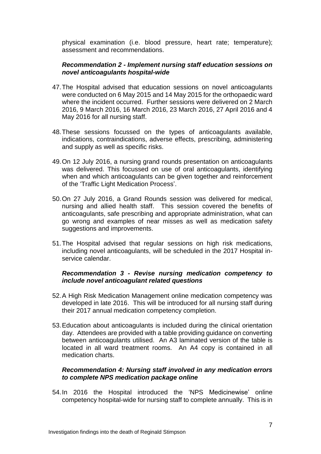physical examination (i.e. blood pressure, heart rate; temperature); assessment and recommendations.

# *Recommendation 2 - Implement nursing staff education sessions on novel anticoagulants hospital-wide*

- 47.The Hospital advised that education sessions on novel anticoagulants were conducted on 6 May 2015 and 14 May 2015 for the orthopaedic ward where the incident occurred. Further sessions were delivered on 2 March 2016, 9 March 2016, 16 March 2016, 23 March 2016, 27 April 2016 and 4 May 2016 for all nursing staff.
- 48.These sessions focussed on the types of anticoagulants available, indications, contraindications, adverse effects, prescribing, administering and supply as well as specific risks.
- 49.On 12 July 2016, a nursing grand rounds presentation on anticoagulants was delivered. This focussed on use of oral anticoagulants, identifying when and which anticoagulants can be given together and reinforcement of the 'Traffic Light Medication Process'.
- 50.On 27 July 2016, a Grand Rounds session was delivered for medical, nursing and allied health staff. This session covered the benefits of anticoagulants, safe prescribing and appropriate administration, what can go wrong and examples of near misses as well as medication safety suggestions and improvements.
- 51.The Hospital advised that regular sessions on high risk medications, including novel anticoagulants, will be scheduled in the 2017 Hospital inservice calendar.

# *Recommendation 3 - Revise nursing medication competency to include novel anticoagulant related questions*

- 52.A High Risk Medication Management online medication competency was developed in late 2016. This will be introduced for all nursing staff during their 2017 annual medication competency completion.
- 53.Education about anticoagulants is included during the clinical orientation day. Attendees are provided with a table providing guidance on converting between anticoagulants utilised. An A3 laminated version of the table is located in all ward treatment rooms. An A4 copy is contained in all medication charts.

# *Recommendation 4: Nursing staff involved in any medication errors to complete NPS medication package online*

54.In 2016 the Hospital introduced the 'NPS Medicinewise' online competency hospital-wide for nursing staff to complete annually. This is in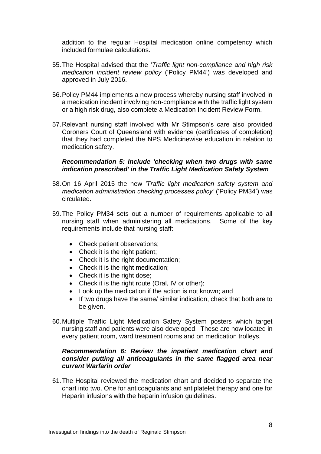addition to the regular Hospital medication online competency which included formulae calculations.

- 55.The Hospital advised that the '*Traffic light non-compliance and high risk medication incident review policy* ('Policy PM44') was developed and approved in July 2016.
- 56.Policy PM44 implements a new process whereby nursing staff involved in a medication incident involving non-compliance with the traffic light system or a high risk drug, also complete a Medication Incident Review Form.
- 57.Relevant nursing staff involved with Mr Stimpson's care also provided Coroners Court of Queensland with evidence (certificates of completion) that they had completed the NPS Medicinewise education in relation to medication safety.

### *Recommendation 5: Include 'checking when two drugs with same indication prescribed' in the Traffic Light Medication Safety System*

- 58.On 16 April 2015 the new *'Traffic light medication safety system and medication administration checking processes policy'* ('Policy PM34') was circulated.
- 59.The Policy PM34 sets out a number of requirements applicable to all nursing staff when administering all medications. Some of the key requirements include that nursing staff:
	- Check patient observations;
	- Check it is the right patient:
	- Check it is the right documentation;
	- Check it is the right medication;
	- Check it is the right dose;
	- Check it is the right route (Oral, IV or other);
	- Look up the medication if the action is not known; and
	- If two drugs have the same/ similar indication, check that both are to be given.
- 60.Multiple Traffic Light Medication Safety System posters which target nursing staff and patients were also developed. These are now located in every patient room, ward treatment rooms and on medication trolleys.

#### *Recommendation 6: Review the inpatient medication chart and consider putting all anticoagulants in the same flagged area near current Warfarin order*

61.The Hospital reviewed the medication chart and decided to separate the chart into two. One for anticoagulants and antiplatelet therapy and one for Heparin infusions with the heparin infusion guidelines.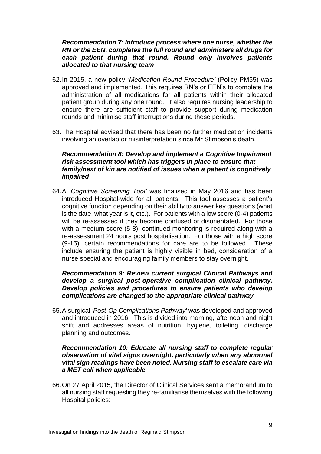#### *Recommendation 7: Introduce process where one nurse, whether the RN or the EEN, completes the full round and administers all drugs for each patient during that round. Round only involves patients allocated to that nursing team*

- 62.In 2015, a new policy '*Medication Round Procedure'* (Policy PM35) was approved and implemented. This requires RN's or EEN's to complete the administration of all medications for all patients within their allocated patient group during any one round. It also requires nursing leadership to ensure there are sufficient staff to provide support during medication rounds and minimise staff interruptions during these periods.
- 63.The Hospital advised that there has been no further medication incidents involving an overlap or misinterpretation since Mr Stimpson's death.

# *Recommendation 8: Develop and implement a Cognitive Impairment risk assessment tool which has triggers in place to ensure that family/next of kin are notified of issues when a patient is cognitively impaired*

64.A '*Cognitive Screening Tool'* was finalised in May 2016 and has been introduced Hospital-wide for all patients. This tool assesses a patient's cognitive function depending on their ability to answer key questions (what is the date, what year is it, etc.). For patients with a low score (0-4) patients will be re-assessed if they become confused or disorientated. For those with a medium score (5-8), continued monitoring is required along with a re-assessment 24 hours post hospitalisation. For those with a high score (9-15), certain recommendations for care are to be followed. These include ensuring the patient is highly visible in bed, consideration of a nurse special and encouraging family members to stay overnight.

# *Recommendation 9: Review current surgical Clinical Pathways and develop a surgical post-operative complication clinical pathway. Develop policies and procedures to ensure patients who develop complications are changed to the appropriate clinical pathway*

65.A surgical *'Post-Op Complications Pathway'* was developed and approved and introduced in 2016. This is divided into morning, afternoon and night shift and addresses areas of nutrition, hygiene, toileting, discharge planning and outcomes.

### *Recommendation 10: Educate all nursing staff to complete regular observation of vital signs overnight, particularly when any abnormal vital sign readings have been noted. Nursing staff to escalate care via a MET call when applicable*

66.On 27 April 2015, the Director of Clinical Services sent a memorandum to all nursing staff requesting they re-familiarise themselves with the following Hospital policies: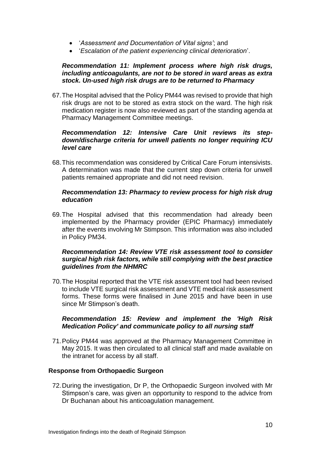- '*Assessment and Documentation of Vital signs'*; and
- '*Escalation of the patient experiencing clinical deterioration*'.

### *Recommendation 11: Implement process where high risk drugs, including anticoagulants, are not to be stored in ward areas as extra stock. Un-used high risk drugs are to be returned to Pharmacy*

67.The Hospital advised that the Policy PM44 was revised to provide that high risk drugs are not to be stored as extra stock on the ward. The high risk medication register is now also reviewed as part of the standing agenda at Pharmacy Management Committee meetings.

# *Recommendation 12: Intensive Care Unit reviews its stepdown/discharge criteria for unwell patients no longer requiring ICU level care*

68.This recommendation was considered by Critical Care Forum intensivists. A determination was made that the current step down criteria for unwell patients remained appropriate and did not need revision.

### *Recommendation 13: Pharmacy to review process for high risk drug education*

69.The Hospital advised that this recommendation had already been implemented by the Pharmacy provider (EPIC Pharmacy) immediately after the events involving Mr Stimpson. This information was also included in Policy PM34.

# *Recommendation 14: Review VTE risk assessment tool to consider surgical high risk factors, while still complying with the best practice guidelines from the NHMRC*

70.The Hospital reported that the VTE risk assessment tool had been revised to include VTE surgical risk assessment and VTE medical risk assessment forms. These forms were finalised in June 2015 and have been in use since Mr Stimpson's death.

#### *Recommendation 15: Review and implement the 'High Risk Medication Policy' and communicate policy to all nursing staff*

71.Policy PM44 was approved at the Pharmacy Management Committee in May 2015. It was then circulated to all clinical staff and made available on the intranet for access by all staff.

# **Response from Orthopaedic Surgeon**

72.During the investigation, Dr P, the Orthopaedic Surgeon involved with Mr Stimpson's care, was given an opportunity to respond to the advice from Dr Buchanan about his anticoagulation management.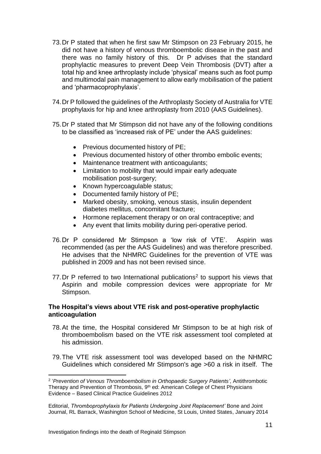- 73.Dr P stated that when he first saw Mr Stimpson on 23 February 2015, he did not have a history of venous thromboembolic disease in the past and there was no family history of this. Dr P advises that the standard prophylactic measures to prevent Deep Vein Thrombosis (DVT) after a total hip and knee arthroplasty include 'physical' means such as foot pump and multimodal pain management to allow early mobilisation of the patient and 'pharmacoprophylaxis'.
- 74.Dr P followed the guidelines of the Arthroplasty Society of Australia for VTE prophylaxis for hip and knee arthroplasty from 2010 (AAS Guidelines).
- 75.Dr P stated that Mr Stimpson did not have any of the following conditions to be classified as 'increased risk of PE' under the AAS guidelines:
	- Previous documented history of PE;
	- Previous documented history of other thrombo embolic events;
	- Maintenance treatment with anticoagulants:
	- Limitation to mobility that would impair early adequate mobilisation post-surgery;
	- Known hypercoagulable status;
	- Documented family history of PE;
	- Marked obesity, smoking, venous stasis, insulin dependent diabetes mellitus, concomitant fracture;
	- Hormone replacement therapy or on oral contraceptive; and
	- Any event that limits mobility during peri-operative period.
- 76.Dr P considered Mr Stimpson a 'low risk of VTE'. Aspirin was recommended (as per the AAS Guidelines) and was therefore prescribed. He advises that the NHMRC Guidelines for the prevention of VTE was published in 2009 and has not been revised since.
- 77. Dr P referred to two International publications<sup>2</sup> to support his views that Aspirin and mobile compression devices were appropriate for Mr Stimpson.

#### **The Hospital's views about VTE risk and post-operative prophylactic anticoagulation**

- 78.At the time, the Hospital considered Mr Stimpson to be at high risk of thromboembolism based on the VTE risk assessment tool completed at his admission.
- 79.The VTE risk assessment tool was developed based on the NHMRC Guidelines which considered Mr Stimpson's age >60 a risk in itself. The

l 2 '*Prevention of Venous Thromboembolism in Orthopaedic Surgery Patients'*, Antithrombotic Therapy and Prevention of Thrombosis, 9<sup>th</sup> ed: American College of Chest Physicians Evidence – Based Clinical Practice Guidelines 2012

Editorial, *Thromboprophylaxis for Patients Undergoing Joint Replacement'* Bone and Joint Journal, RL Barrack, Washington School of Medicine, St Louis, United States, January 2014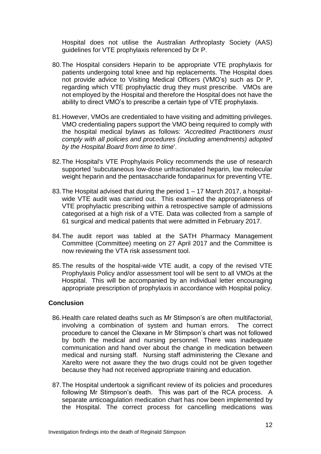Hospital does not utilise the Australian Arthroplasty Society (AAS) guidelines for VTE prophylaxis referenced by Dr P.

- 80.The Hospital considers Heparin to be appropriate VTE prophylaxis for patients undergoing total knee and hip replacements. The Hospital does not provide advice to Visiting Medical Officers (VMO's) such as Dr P, regarding which VTE prophylactic drug they must prescribe. VMOs are not employed by the Hospital and therefore the Hospital does not have the ability to direct VMO's to prescribe a certain type of VTE prophylaxis.
- 81.However, VMOs are credentialed to have visiting and admitting privileges. VMO credentialing papers support the VMO being required to comply with the hospital medical bylaws as follows: *'Accredited Practitioners must comply with all policies and procedures (including amendments) adopted by the Hospital Board from time to time*'.
- 82.The Hospital's VTE Prophylaxis Policy recommends the use of research supported 'subcutaneous low-dose unfractionated heparin, low molecular weight heparin and the pentasaccharide fondaparinux for preventing VTE.
- 83.The Hospital advised that during the period 1 17 March 2017, a hospitalwide VTE audit was carried out. This examined the appropriateness of VTE prophylactic prescribing within a retrospective sample of admissions categorised at a high risk of a VTE. Data was collected from a sample of 61 surgical and medical patients that were admitted in February 2017.
- 84.The audit report was tabled at the SATH Pharmacy Management Committee (Committee) meeting on 27 April 2017 and the Committee is now reviewing the VTA risk assessment tool.
- 85.The results of the hospital-wide VTE audit, a copy of the revised VTE Prophylaxis Policy and/or assessment tool will be sent to all VMOs at the Hospital. This will be accompanied by an individual letter encouraging appropriate prescription of prophylaxis in accordance with Hospital policy.

# **Conclusion**

- 86.Health care related deaths such as Mr Stimpson's are often multifactorial, involving a combination of system and human errors. The correct procedure to cancel the Clexane in Mr Stimpson's chart was not followed by both the medical and nursing personnel. There was inadequate communication and hand over about the change in medication between medical and nursing staff. Nursing staff administering the Clexane and Xarelto were not aware they the two drugs could not be given together because they had not received appropriate training and education.
- 87.The Hospital undertook a significant review of its policies and procedures following Mr Stimpson's death. This was part of the RCA process. A separate anticoagulation medication chart has now been implemented by the Hospital. The correct process for cancelling medications was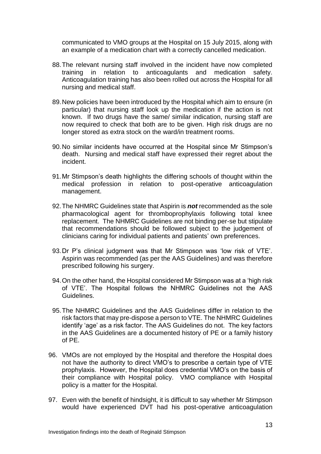communicated to VMO groups at the Hospital on 15 July 2015, along with an example of a medication chart with a correctly cancelled medication.

- 88.The relevant nursing staff involved in the incident have now completed training in relation to anticoagulants and medication safety. Anticoagulation training has also been rolled out across the Hospital for all nursing and medical staff.
- 89.New policies have been introduced by the Hospital which aim to ensure (in particular) that nursing staff look up the medication if the action is not known. If two drugs have the same/ similar indication, nursing staff are now required to check that both are to be given. High risk drugs are no longer stored as extra stock on the ward/in treatment rooms.
- 90.No similar incidents have occurred at the Hospital since Mr Stimpson's death. Nursing and medical staff have expressed their regret about the incident.
- 91.Mr Stimpson's death highlights the differing schools of thought within the medical profession in relation to post-operative anticoagulation management.
- 92.The NHMRC Guidelines state that Aspirin is *not* recommended as the sole pharmacological agent for thromboprophylaxis following total knee replacement. The NHMRC Guidelines are not binding per-se but stipulate that recommendations should be followed subject to the judgement of clinicians caring for individual patients and patients' own preferences.
- 93.Dr P's clinical judgment was that Mr Stimpson was 'low risk of VTE'. Aspirin was recommended (as per the AAS Guidelines) and was therefore prescribed following his surgery.
- 94.On the other hand, the Hospital considered Mr Stimpson was at a 'high risk of VTE'. The Hospital follows the NHMRC Guidelines not the AAS Guidelines.
- 95.The NHMRC Guidelines and the AAS Guidelines differ in relation to the risk factors that may pre-dispose a person to VTE. The NHMRC Guidelines identify 'age' as a risk factor. The AAS Guidelines do not. The key factors in the AAS Guidelines are a documented history of PE or a family history of PE.
- 96. VMOs are not employed by the Hospital and therefore the Hospital does not have the authority to direct VMO's to prescribe a certain type of VTE prophylaxis. However, the Hospital does credential VMO's on the basis of their compliance with Hospital policy. VMO compliance with Hospital policy is a matter for the Hospital.
- 97. Even with the benefit of hindsight, it is difficult to say whether Mr Stimpson would have experienced DVT had his post-operative anticoagulation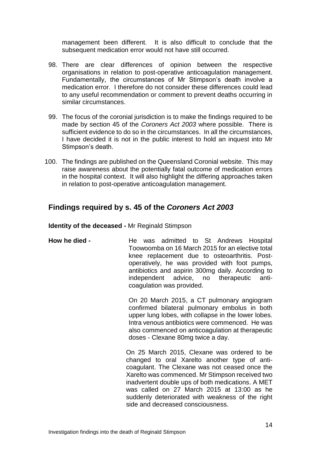management been different. It is also difficult to conclude that the subsequent medication error would not have still occurred.

- 98. There are clear differences of opinion between the respective organisations in relation to post-operative anticoagulation management. Fundamentally, the circumstances of Mr Stimpson's death involve a medication error. I therefore do not consider these differences could lead to any useful recommendation or comment to prevent deaths occurring in similar circumstances.
- 99. The focus of the coronial jurisdiction is to make the findings required to be made by section 45 of the *Coroners Act 2003* where possible.There is sufficient evidence to do so in the circumstances. In all the circumstances, I have decided it is not in the public interest to hold an inquest into Mr Stimpson's death.
- 100. The findings are published on the Queensland Coronial website. This may raise awareness about the potentially fatal outcome of medication errors in the hospital context. It will also highlight the differing approaches taken in relation to post-operative anticoagulation management.

# **Findings required by s. 45 of the** *Coroners Act 2003*

**Identity of the deceased -** Mr Reginald Stimpson

**How he died -** He was admitted to St Andrews Hospital Toowoomba on 16 March 2015 for an elective total knee replacement due to osteoarthritis. Postoperatively, he was provided with foot pumps, antibiotics and aspirin 300mg daily. According to independent advice, no therapeutic anticoagulation was provided.

> On 20 March 2015, a CT pulmonary angiogram confirmed bilateral pulmonary embolus in both upper lung lobes, with collapse in the lower lobes. Intra venous antibiotics were commenced. He was also commenced on anticoagulation at therapeutic doses - Clexane 80mg twice a day.

On 25 March 2015, Clexane was ordered to be changed to oral Xarelto another type of anticoagulant. The Clexane was not ceased once the Xarelto was commenced. Mr Stimpson received two inadvertent double ups of both medications. A MET was called on 27 March 2015 at 13:00 as he suddenly deteriorated with weakness of the right side and decreased consciousness.